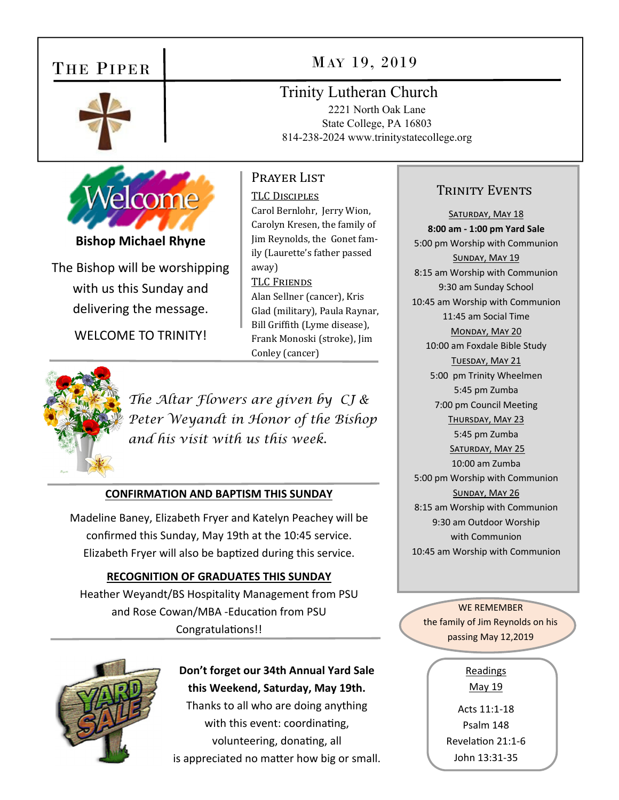# THE PIPER



## MAY 19, 2019

Trinity Lutheran Church

2221 North Oak Lane State College, PA 16803 814-238-2024 www.trinitystatecollege.org



**Bishop Michael Rhyne** 

The Bishop will be worshipping with us this Sunday and delivering the message.

WELCOME TO TRINITY!

TLC DISCIPLES Carol Bernlohr, Jerry Wion, Carolyn Kresen, the family of Jim Reynolds, the Gonet family (Laurette's father passed away) **TLC FRIENDS** Alan Sellner (cancer), Kris Glad (military), Paula Raynar, Bill Griffith (Lyme disease), Frank Monoski (stroke), Jim Conley (cancer)

Prayer List



*The Altar Flowers are given by CJ & Peter Weyandt in Honor of the Bishop and his visit with us this week.* 

#### **CONFIRMATION AND BAPTISM THIS SUNDAY**

Madeline Baney, Elizabeth Fryer and Katelyn Peachey will be confirmed this Sunday, May 19th at the 10:45 service. Elizabeth Fryer will also be baptized during this service.

#### **RECOGNITION OF GRADUATES THIS SUNDAY**

Heather Weyandt/BS Hospitality Management from PSU and Rose Cowan/MBA - Education from PSU Congratulations!!



**Don't forget our 34th Annual Yard Sale this Weekend, Saturday, May 19th.**  Thanks to all who are doing anything with this event: coordinating, volunteering, donating, all

is appreciated no matter how big or small.

### TRINITY EVENTS

SATURDAY, MAY 18 **8:00 am ‐ 1:00 pm Yard Sale**  5:00 pm Worship with Communion SUNDAY, MAY 19 8:15 am Worship with Communion 9:30 am Sunday School 10:45 am Worship with Communion 11:45 am Social Time MONDAY, MAY 20 10:00 am Foxdale Bible Study TUESDAY, MAY 21 5:00 pm Trinity Wheelmen 5:45 pm Zumba 7:00 pm Council Meeting THURSDAY, MAY 23 5:45 pm Zumba SATURDAY, MAY 25 10:00 am Zumba 5:00 pm Worship with Communion SUNDAY, MAY 26 8:15 am Worship with Communion 9:30 am Outdoor Worship with Communion 10:45 am Worship with Communion

WE REMEMBER the family of Jim Reynolds on his passing May 12,2019

> Readings May 19

Acts 11:1‐18 Psalm 148 RevelaƟon 21:1‐6 John 13:31‐35